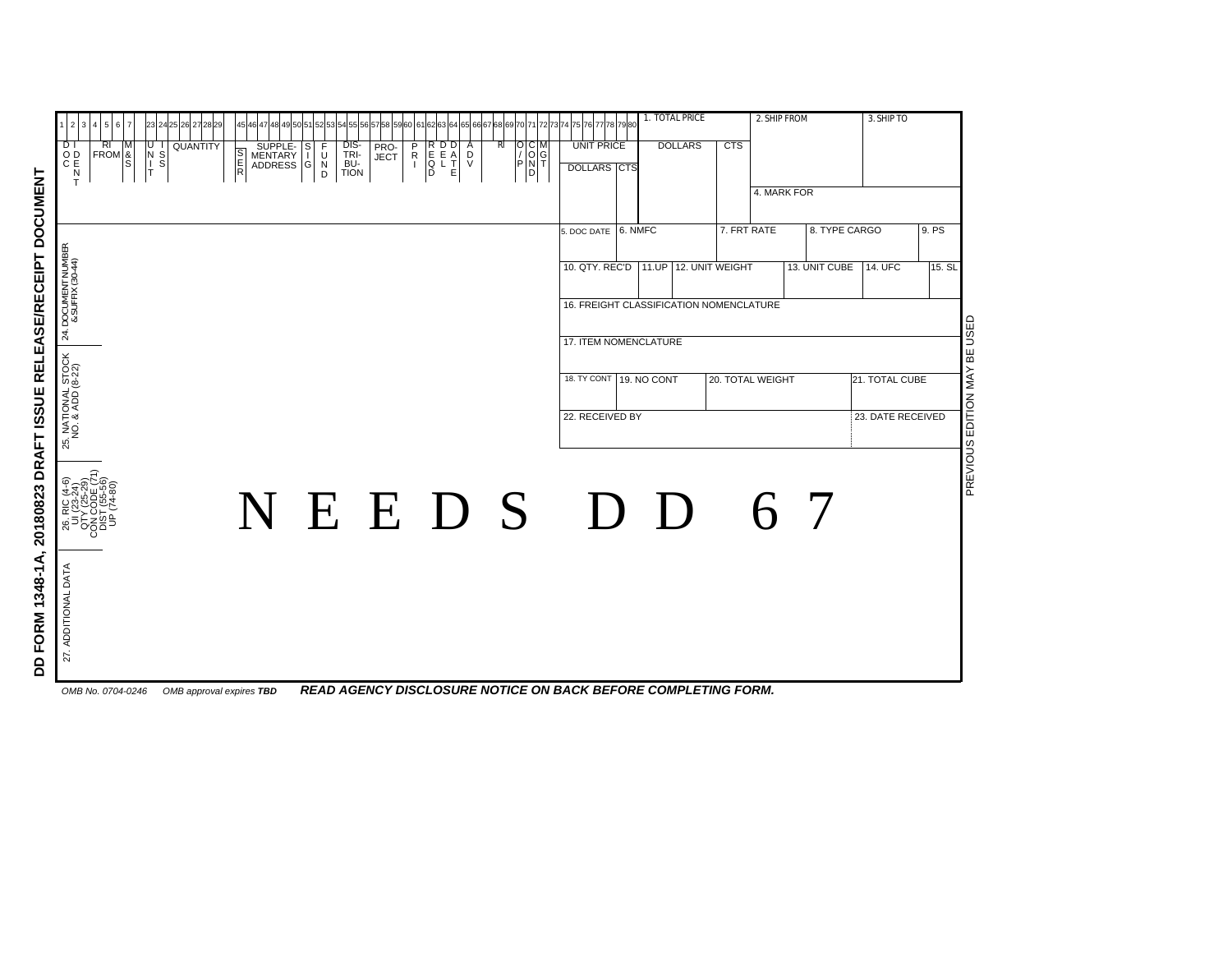| 1 2 3 4 5 6 7                                                    | 23 24 25 26 27 28 29                                                                                                             | 45 46 47 48 49 50 51 52 53 54 55 56 57 58 59 60<br>61 62 63 64 65 66 67 68 69 70 71 |                                               |                                             |               | 7273                    | 1. TOTAL PRICE<br>4 75 76 77 78 79 80        |                |                                                                                  |                                         | 2. SHIP FROM |                                                  | 3. SHIP TO       |             |               |                   |        |
|------------------------------------------------------------------|----------------------------------------------------------------------------------------------------------------------------------|-------------------------------------------------------------------------------------|-----------------------------------------------|---------------------------------------------|---------------|-------------------------|----------------------------------------------|----------------|----------------------------------------------------------------------------------|-----------------------------------------|--------------|--------------------------------------------------|------------------|-------------|---------------|-------------------|--------|
| $\overline{D}$<br>RI<br>RI M<br>FROM 8<br>S<br>OD<br>C<br>C<br>T | $\begin{array}{c}\n\overline{u} \\ \overline{u} \\ \overline{u} \\ \overline{v} \\ \overline{v}\n\end{array}$<br><b>QUANTITY</b> | SUPPLE-<br>MENTARY<br>ADDRESS<br><b>S</b><br>R<br>R                                 | F<br>s<br>I<br>U<br>D<br>D<br>$\vert G \vert$ | DIS-<br>TRI-<br>BU-<br>TION<br>PRO-<br>JECT | $\frac{P}{1}$ | RDD<br>EEA<br>QLT<br>DE | $\begin{array}{c}\nA \\ D \\ V\n\end{array}$ | R <sub>l</sub> | $\begin{bmatrix} 0 & C & M \\ 7 & 0 & G \\ 8 & 1 & G \\ 1 & 0 & G \end{bmatrix}$ | <b>UNIT PRICE</b><br><b>DOLLARS CTS</b> |              | <b>DOLLARS</b>                                   | <b>CTS</b>       |             |               |                   |        |
|                                                                  |                                                                                                                                  |                                                                                     |                                               |                                             |               |                         |                                              |                |                                                                                  |                                         |              |                                                  |                  | 4. MARK FOR |               |                   |        |
|                                                                  |                                                                                                                                  |                                                                                     |                                               |                                             |               |                         |                                              |                |                                                                                  | 5. DOC DATE 6. NMFC                     |              |                                                  | 7. FRT RATE      |             |               | 8. TYPE CARGO     | 9. PS  |
| 24. DOCUMENT NUMBER<br>& SUFFIX (30-44)                          |                                                                                                                                  |                                                                                     |                                               |                                             |               |                         |                                              |                |                                                                                  | 10. QTY. REC'D                          |              | 11.UP<br>16. FREIGHT CLASSIFICATION NOMENCLATURE | 12. UNIT WEIGHT  |             | 13. UNIT CUBE | 14. UFC           | 15. SL |
|                                                                  |                                                                                                                                  |                                                                                     |                                               |                                             |               |                         |                                              |                |                                                                                  | 17. ITEM NOMENCLATURE                   |              |                                                  |                  |             |               |                   |        |
| 25. NATIONAL STOCK<br>NO. & ADD (8-22)                           |                                                                                                                                  |                                                                                     |                                               |                                             |               |                         |                                              |                |                                                                                  | 18. TY CONT 19. NO CONT                 |              |                                                  | 20. TOTAL WEIGHT |             |               | 21. TOTAL CUBE    |        |
|                                                                  |                                                                                                                                  |                                                                                     |                                               |                                             |               |                         |                                              |                |                                                                                  | 22. RECEIVED BY                         |              |                                                  |                  |             |               | 23. DATE RECEIVED |        |
|                                                                  |                                                                                                                                  | NEEDS DD                                                                            |                                               |                                             |               |                         |                                              |                |                                                                                  |                                         |              |                                                  |                  |             | 6 7           |                   |        |
| 27. ADDITIONAL DATA                                              |                                                                                                                                  |                                                                                     |                                               |                                             |               |                         |                                              |                |                                                                                  |                                         |              |                                                  |                  |             |               |                   |        |
|                                                                  |                                                                                                                                  |                                                                                     |                                               |                                             |               |                         |                                              |                |                                                                                  |                                         |              |                                                  |                  |             |               |                   |        |